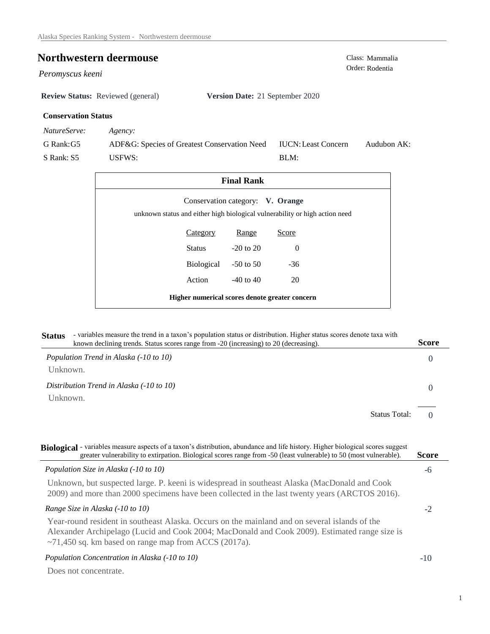# **Northwestern deermouse** Class: Mammalia<br>
Class: Mammalia<br>
Order: Rodentia

Peromyscus keeni

**Review Status:** Reviewed (general) **Version Date:** 21 September 2020

#### **Conservation Status**

*NatureServe: Agency:*

G Rank:G5 S Rank: S5 ADF&G: Species of Greatest Conservation Need USFWS: Audubon AK: BLM: IUCN:Least Concern

| <b>Final Rank</b>                                                                                               |            |               |       |  |  |
|-----------------------------------------------------------------------------------------------------------------|------------|---------------|-------|--|--|
| Conservation category: V. Orange<br>unknown status and either high biological vulnerability or high action need |            |               |       |  |  |
|                                                                                                                 | Category   | Range         | Score |  |  |
|                                                                                                                 | Status     | $-20$ to $20$ | 0     |  |  |
|                                                                                                                 | Biological | $-50$ to $50$ | $-36$ |  |  |
|                                                                                                                 | Action     | $-40$ to $40$ | 20    |  |  |
| Higher numerical scores denote greater concern                                                                  |            |               |       |  |  |

| - variables measure the trend in a taxon's population status or distribution. Higher status scores denote taxa with<br><b>Status</b> |                                                                                       |       |
|--------------------------------------------------------------------------------------------------------------------------------------|---------------------------------------------------------------------------------------|-------|
|                                                                                                                                      | known declining trends. Status scores range from -20 (increasing) to 20 (decreasing). | Score |
|                                                                                                                                      | Population Trend in Alaska (-10 to 10)                                                |       |

Unknown.

*Distribution Trend in Alaska (-10 to 10)* Unknown.

> $\Omega$ Status Total:

0

| Biological - variables measure aspects of a taxon's distribution, abundance and life history. Higher biological scores suggest<br>greater vulnerability to extirpation. Biological scores range from -50 (least vulnerable) to 50 (most vulnerable).         | <b>Score</b> |
|--------------------------------------------------------------------------------------------------------------------------------------------------------------------------------------------------------------------------------------------------------------|--------------|
| Population Size in Alaska (-10 to 10)                                                                                                                                                                                                                        | -6           |
| Unknown, but suspected large. P. keeni is widespread in southeast Alaska (MacDonald and Cook<br>2009) and more than 2000 specimens have been collected in the last twenty years (ARCTOS 2016).                                                               |              |
| Range Size in Alaska (-10 to 10)                                                                                                                                                                                                                             | -2           |
| Year-round resident in southeast Alaska. Occurs on the mainland and on several islands of the<br>Alexander Archipelago (Lucid and Cook 2004; MacDonald and Cook 2009). Estimated range size is<br>$\sim$ 71,450 sq. km based on range map from ACCS (2017a). |              |
| Population Concentration in Alaska (-10 to 10)                                                                                                                                                                                                               | $-1()$       |
| Does not concentrate.                                                                                                                                                                                                                                        |              |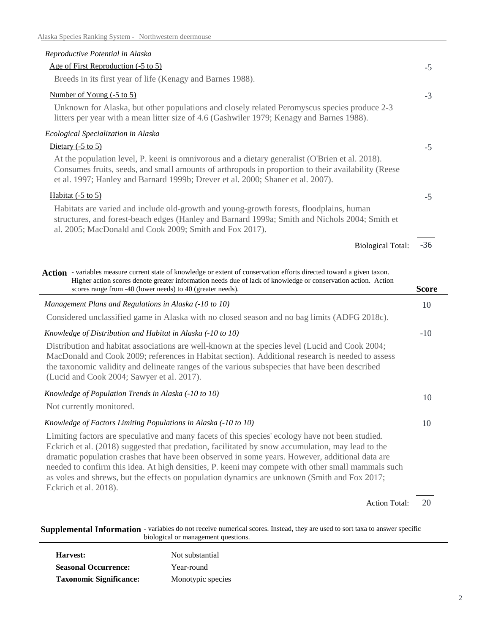### *Reproductive Potential in Alaska*

#### Age of First Reproduction (-5 to 5)

Breeds in its first year of life (Kenagy and Barnes 1988).

#### Number of Young (-5 to 5)

Unknown for Alaska, but other populations and closely related Peromyscus species produce 2-3 litters per year with a mean litter size of 4.6 (Gashwiler 1979; Kenagy and Barnes 1988).

#### *Ecological Specialization in Alaska*

## Dietary  $(-5 \text{ to } 5)$

At the population level, P. keeni is omnivorous and a dietary generalist (O'Brien et al. 2018). Consumes fruits, seeds, and small amounts of arthropods in proportion to their availability (Reese et al. 1997; Hanley and Barnard 1999b; Drever et al. 2000; Shaner et al. 2007).

#### Habitat  $(-5 \text{ to } 5)$

Eckrich et al. 2018).

Habitats are varied and include old-growth and young-growth forests, floodplains, human structures, and forest-beach edges (Hanley and Barnard 1999a; Smith and Nichols 2004; Smith et al. 2005; MacDonald and Cook 2009; Smith and Fox 2017).

> -36 Biological Total:

-5

-3

-5

-5

| Action - variables measure current state of knowledge or extent of conservation efforts directed toward a given taxon.<br>Higher action scores denote greater information needs due of lack of knowledge or conservation action. Action<br>scores range from -40 (lower needs) to 40 (greater needs).                                                                                                                                                                                                          | Score |
|----------------------------------------------------------------------------------------------------------------------------------------------------------------------------------------------------------------------------------------------------------------------------------------------------------------------------------------------------------------------------------------------------------------------------------------------------------------------------------------------------------------|-------|
| Management Plans and Regulations in Alaska (-10 to 10)                                                                                                                                                                                                                                                                                                                                                                                                                                                         | 10    |
| Considered unclassified game in Alaska with no closed season and no bag limits (ADFG 2018c).                                                                                                                                                                                                                                                                                                                                                                                                                   |       |
| Knowledge of Distribution and Habitat in Alaska (-10 to 10)                                                                                                                                                                                                                                                                                                                                                                                                                                                    | $-10$ |
| Distribution and habitat associations are well-known at the species level (Lucid and Cook 2004;<br>MacDonald and Cook 2009; references in Habitat section). Additional research is needed to assess<br>the taxonomic validity and delineate ranges of the various subspecies that have been described<br>(Lucid and Cook 2004; Sawyer et al. 2017).                                                                                                                                                            |       |
| Knowledge of Population Trends in Alaska (-10 to 10)<br>Not currently monitored.                                                                                                                                                                                                                                                                                                                                                                                                                               | 10    |
| Knowledge of Factors Limiting Populations in Alaska (-10 to 10)                                                                                                                                                                                                                                                                                                                                                                                                                                                | 10    |
| Limiting factors are speculative and many facets of this species' ecology have not been studied.<br>Eckrich et al. (2018) suggested that predation, facilitated by snow accumulation, may lead to the<br>dramatic population crashes that have been observed in some years. However, additional data are<br>needed to confirm this idea. At high densities, P. keeni may compete with other small mammals such<br>as voles and shrews, but the effects on population dynamics are unknown (Smith and Fox 2017; |       |

20 Action Total:

**Supplemental Information** - variables do not receive numerical scores. Instead, they are used to sort taxa to answer specific biological or management questions.

| Harvest:                       | Not substantial   |
|--------------------------------|-------------------|
| <b>Seasonal Occurrence:</b>    | Year-round        |
| <b>Taxonomic Significance:</b> | Monotypic species |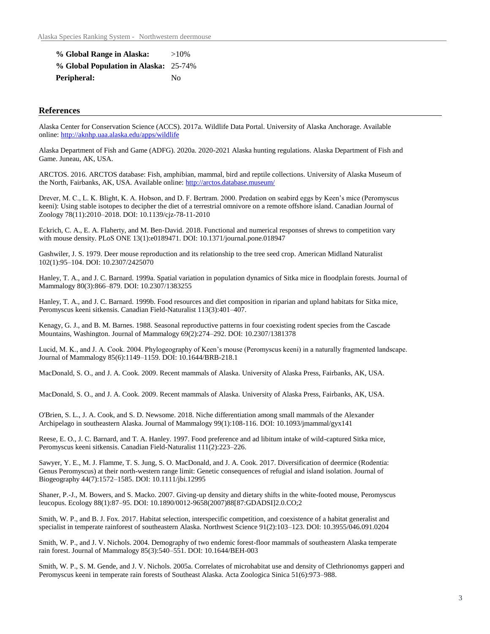| % Global Range in Alaska:             | $>10\%$ |
|---------------------------------------|---------|
| % Global Population in Alaska: 25-74% |         |
| Peripheral:                           | Nο      |

#### **References**

Alaska Center for Conservation Science (ACCS). 2017a. Wildlife Data Portal. University of Alaska Anchorage. Available online: http://aknhp.uaa.alaska.edu/apps/wildlife

Alaska Department of Fish and Game (ADFG). 2020a. 2020-2021 Alaska hunting regulations. Alaska Department of Fish and Game. Juneau, AK, USA.

ARCTOS. 2016. ARCTOS database: Fish, amphibian, mammal, bird and reptile collections. University of Alaska Museum of the North, Fairbanks, AK, USA. Available online: http://arctos.database.museum/

Drever, M. C., L. K. Blight, K. A. Hobson, and D. F. Bertram. 2000. Predation on seabird eggs by Keen's mice (Peromyscus keeni): Using stable isotopes to decipher the diet of a terrestrial omnivore on a remote offshore island. Canadian Journal of Zoology 78(11):2010–2018. DOI: 10.1139/cjz-78-11-2010

Eckrich, C. A., E. A. Flaherty, and M. Ben-David. 2018. Functional and numerical responses of shrews to competition vary with mouse density. PLoS ONE 13(1):e0189471. DOI: 10.1371/journal.pone.018947

Gashwiler, J. S. 1979. Deer mouse reproduction and its relationship to the tree seed crop. American Midland Naturalist 102(1):95–104. DOI: 10.2307/2425070

Hanley, T. A., and J. C. Barnard. 1999a. Spatial variation in population dynamics of Sitka mice in floodplain forests. Journal of Mammalogy 80(3):866–879. DOI: 10.2307/1383255

Hanley, T. A., and J. C. Barnard. 1999b. Food resources and diet composition in riparian and upland habitats for Sitka mice, Peromyscus keeni sitkensis. Canadian Field-Naturalist 113(3):401–407.

Kenagy, G. J., and B. M. Barnes. 1988. Seasonal reproductive patterns in four coexisting rodent species from the Cascade Mountains, Washington. Journal of Mammalogy 69(2):274–292. DOI: 10.2307/1381378

Lucid, M. K., and J. A. Cook. 2004. Phylogeography of Keen's mouse (Peromyscus keeni) in a naturally fragmented landscape. Journal of Mammalogy 85(6):1149–1159. DOI: 10.1644/BRB-218.1

MacDonald, S. O., and J. A. Cook. 2009. Recent mammals of Alaska. University of Alaska Press, Fairbanks, AK, USA.

MacDonald, S. O., and J. A. Cook. 2009. Recent mammals of Alaska. University of Alaska Press, Fairbanks, AK, USA.

O'Brien, S. L., J. A. Cook, and S. D. Newsome. 2018. Niche differentiation among small mammals of the Alexander Archipelago in southeastern Alaska. Journal of Mammalogy 99(1):108-116. DOI: 10.1093/jmammal/gyx141

Reese, E. O., J. C. Barnard, and T. A. Hanley. 1997. Food preference and ad libitum intake of wild-captured Sitka mice, Peromyscus keeni sitkensis. Canadian Field-Naturalist 111(2):223–226.

Sawyer, Y. E., M. J. Flamme, T. S. Jung, S. O. MacDonald, and J. A. Cook. 2017. Diversification of deermice (Rodentia: Genus Peromyscus) at their north-western range limit: Genetic consequences of refugial and island isolation. Journal of Biogeography 44(7):1572–1585. DOI: 10.1111/jbi.12995

Shaner, P.-J., M. Bowers, and S. Macko. 2007. Giving-up density and dietary shifts in the white-footed mouse, Peromyscus leucopus. Ecology 88(1):87–95. DOI: 10.1890/0012-9658(2007)88[87:GDADSI]2.0.CO;2

Smith, W. P., and B. J. Fox. 2017. Habitat selection, interspecific competition, and coexistence of a habitat generalist and specialist in temperate rainforest of southeastern Alaska. Northwest Science 91(2):103–123. DOI: 10.3955/046.091.0204

Smith, W. P., and J. V. Nichols. 2004. Demography of two endemic forest-floor mammals of southeastern Alaska temperate rain forest. Journal of Mammalogy 85(3):540–551. DOI: 10.1644/BEH-003

Smith, W. P., S. M. Gende, and J. V. Nichols. 2005a. Correlates of microhabitat use and density of Clethrionomys gapperi and Peromyscus keeni in temperate rain forests of Southeast Alaska. Acta Zoologica Sinica 51(6):973–988.